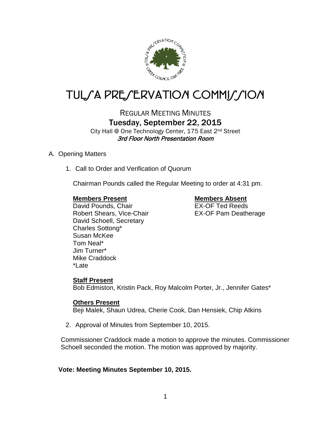

# TUL*SA PRESERVATION COMMISSION*

REGULAR MEETING MINUTES Tuesday, September 22, 2015

City Hall @ One Technology Center, 175 East 2nd Street 3rd Floor North Presentation Room

# A. Opening Matters

1. Call to Order and Verification of Quorum

Chairman Pounds called the Regular Meeting to order at 4:31 pm.

## **Members Present Members Absent**

David Pounds, Chair **EX-OF Ted Reeds** Robert Shears, Vice-Chair **EX-OF Pam Deatherage** David Schoell, Secretary Charles Sottong\* Susan McKee Tom Neal\* Jim Turner\* Mike Craddock \*Late

# **Staff Present**

Bob Edmiston, Kristin Pack, Roy Malcolm Porter, Jr., Jennifer Gates\*

# **Others Present**

Beji Malek, Shaun Udrea, Cherie Cook, Dan Hensiek, Chip Atkins

2. Approval of Minutes from September 10, 2015.

Commissioner Craddock made a motion to approve the minutes. Commissioner Schoell seconded the motion. The motion was approved by majority.

# **Vote: Meeting Minutes September 10, 2015.**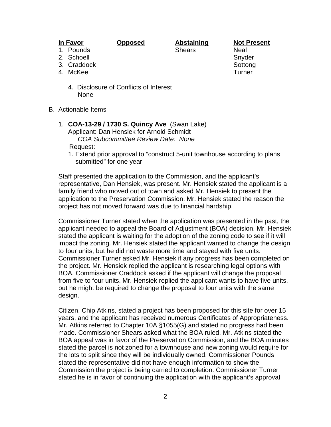**In Favor Opposed Abstaining Not Present**

1. Pounds **Shears** Neal

- 2. Schoell and Snyder Snyder Snyder
- 3. Craddock Sottong Sottong Sottong Sottong Sottong Sottong Sottong Sottong Sottong Sottong Sottong Sottong So
- 4. McKee Turner
	- 4. Disclosure of Conflicts of Interest None
- B. Actionable Items
	- 1. **COA-13-29 / 1730 S. Quincy Ave** (Swan Lake) Applicant: Dan Hensiek for Arnold Schmidt *COA Subcommittee Review Date: None*

Request:

1. Extend prior approval to "construct 5-unit townhouse according to plans submitted" for one year

Staff presented the application to the Commission, and the applicant's representative, Dan Hensiek, was present. Mr. Hensiek stated the applicant is a family friend who moved out of town and asked Mr. Hensiek to present the application to the Preservation Commission. Mr. Hensiek stated the reason the project has not moved forward was due to financial hardship.

Commissioner Turner stated when the application was presented in the past, the applicant needed to appeal the Board of Adjustment (BOA) decision. Mr. Hensiek stated the applicant is waiting for the adoption of the zoning code to see if it will impact the zoning. Mr. Hensiek stated the applicant wanted to change the design to four units, but he did not waste more time and stayed with five units. Commissioner Turner asked Mr. Hensiek if any progress has been completed on the project. Mr. Hensiek replied the applicant is researching legal options with BOA. Commissioner Craddock asked if the applicant will change the proposal from five to four units. Mr. Hensiek replied the applicant wants to have five units, but he might be required to change the proposal to four units with the same design.

Citizen, Chip Atkins, stated a project has been proposed for this site for over 15 years, and the applicant has received numerous Certificates of Appropriateness. Mr. Atkins referred to Chapter 10A §1055(G) and stated no progress had been made. Commissioner Shears asked what the BOA ruled. Mr. Atkins stated the BOA appeal was in favor of the Preservation Commission, and the BOA minutes stated the parcel is not zoned for a townhouse and new zoning would require for the lots to split since they will be individually owned. Commissioner Pounds stated the representative did not have enough information to show the Commission the project is being carried to completion. Commissioner Turner stated he is in favor of continuing the application with the applicant's approval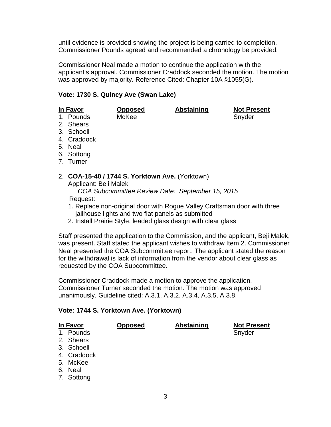until evidence is provided showing the project is being carried to completion. Commissioner Pounds agreed and recommended a chronology be provided.

Commissioner Neal made a motion to continue the application with the applicant's approval. Commissioner Craddock seconded the motion. The motion was approved by majority. Reference Cited: Chapter 10A §1055(G).

## **Vote: 1730 S. Quincy Ave (Swan Lake)**

| In Favor |             | <b>Opposed</b>                                  | <b>Abstaining</b> | <b>Not Present</b> |
|----------|-------------|-------------------------------------------------|-------------------|--------------------|
|          | 1. Pounds   | McKee                                           |                   | Snyder             |
|          | 2. Shears   |                                                 |                   |                    |
|          | 3. Schoell  |                                                 |                   |                    |
|          | 4. Craddock |                                                 |                   |                    |
|          | 5. Neal     |                                                 |                   |                    |
|          | 6. Sottong  |                                                 |                   |                    |
|          | 7. Turner   |                                                 |                   |                    |
|          |             | 2. COA-15-40 / 1744 S. Yorktown Ave. (Yorktown) |                   |                    |

Applicant: Beji Malek

 *COA Subcommittee Review Date: September 15, 2015* Request:

- 1. Replace non-original door with Rogue Valley Craftsman door with three jailhouse lights and two flat panels as submitted
- 2. Install Prairie Style, leaded glass design with clear glass

Staff presented the application to the Commission, and the applicant, Beji Malek, was present. Staff stated the applicant wishes to withdraw Item 2. Commissioner Neal presented the COA Subcommittee report. The applicant stated the reason for the withdrawal is lack of information from the vendor about clear glass as requested by the COA Subcommittee.

Commissioner Craddock made a motion to approve the application. Commissioner Turner seconded the motion. The motion was approved unanimously. Guideline cited: A.3.1, A.3.2, A.3.4, A.3.5, A.3.8.

#### **Vote: 1744 S. Yorktown Ave. (Yorktown)**

| <u>In Favor</u> |             | <b>Opposed</b> | <b>Abstaining</b> | <b>Not Present</b> |
|-----------------|-------------|----------------|-------------------|--------------------|
|                 | 1. Pounds   |                |                   | Snyder             |
|                 | 2. Shears   |                |                   |                    |
|                 | 3. Schoell  |                |                   |                    |
|                 | 4. Craddock |                |                   |                    |
|                 | 5. McKee    |                |                   |                    |
|                 | 6. Neal     |                |                   |                    |
|                 | 7. Sottong  |                |                   |                    |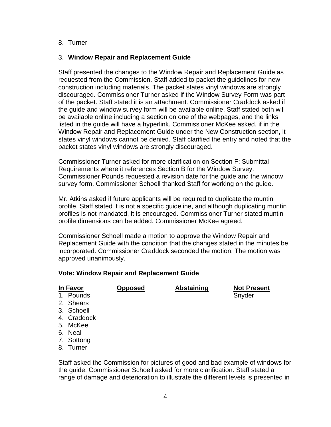#### 8. Turner

#### 3. **Window Repair and Replacement Guide**

Staff presented the changes to the Window Repair and Replacement Guide as requested from the Commission. Staff added to packet the guidelines for new construction including materials. The packet states vinyl windows are strongly discouraged. Commissioner Turner asked if the Window Survey Form was part of the packet. Staff stated it is an attachment. Commissioner Craddock asked if the guide and window survey form will be available online. Staff stated both will be available online including a section on one of the webpages, and the links listed in the guide will have a hyperlink. Commissioner McKee asked. if in the Window Repair and Replacement Guide under the New Construction section, it states vinyl windows cannot be denied. Staff clarified the entry and noted that the packet states vinyl windows are strongly discouraged.

Commissioner Turner asked for more clarification on Section F: Submittal Requirements where it references Section B for the Window Survey. Commissioner Pounds requested a revision date for the guide and the window survey form. Commissioner Schoell thanked Staff for working on the guide.

Mr. Atkins asked if future applicants will be required to duplicate the muntin profile. Staff stated it is not a specific guideline, and although duplicating muntin profiles is not mandated, it is encouraged. Commissioner Turner stated muntin profile dimensions can be added. Commissioner McKee agreed.

Commissioner Schoell made a motion to approve the Window Repair and Replacement Guide with the condition that the changes stated in the minutes be incorporated. Commissioner Craddock seconded the motion. The motion was approved unanimously.

#### **Vote: Window Repair and Replacement Guide**

**In Favor Opposed Abstaining Not Present** 1. Pounds **Snyder** Snyder

- 2. Shears
- 3. Schoell
- 4. Craddock
- 5. McKee
- 6. Neal
- 
- 7. Sottong
- 8. Turner

Staff asked the Commission for pictures of good and bad example of windows for the guide. Commissioner Schoell asked for more clarification. Staff stated a range of damage and deterioration to illustrate the different levels is presented in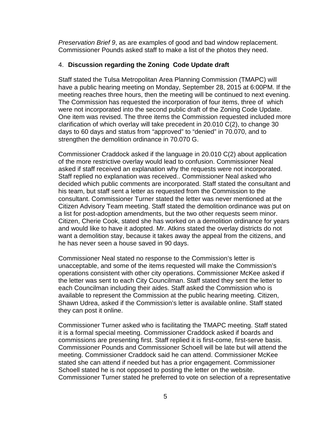*Preservation Brief 9*, as are examples of good and bad window replacement. Commissioner Pounds asked staff to make a list of the photos they need.

## 4. **Discussion regarding the Zoning Code Update draft**

Staff stated the Tulsa Metropolitan Area Planning Commission (TMAPC) will have a public hearing meeting on Monday, September 28, 2015 at 6:00PM. If the meeting reaches three hours, then the meeting will be continued to next evening. The Commission has requested the incorporation of four items, three of which were not incorporated into the second public draft of the Zoning Code Update. One item was revised. The three items the Commission requested included more clarification of which overlay will take precedent in 20.010 C(2), to change 30 days to 60 days and status from "approved" to "denied" in 70.070, and to strengthen the demolition ordinance in 70.070 G.

Commissioner Craddock asked if the language in 20.010 C(2) about application of the more restrictive overlay would lead to confusion. Commissioner Neal asked if staff received an explanation why the requests were not incorporated. Staff replied no explanation was received.. Commissioner Neal asked who decided which public comments are incorporated. Staff stated the consultant and his team, but staff sent a letter as requested from the Commission to the consultant. Commissioner Turner stated the letter was never mentioned at the Citizen Advisory Team meeting. Staff stated the demolition ordinance was put on a list for post-adoption amendments, but the two other requests seem minor. Citizen, Cherie Cook, stated she has worked on a demolition ordinance for years and would like to have it adopted. Mr. Atkins stated the overlay districts do not want a demolition stay, because it takes away the appeal from the citizens, and he has never seen a house saved in 90 days.

Commissioner Neal stated no response to the Commission's letter is unacceptable, and some of the items requested will make the Commission's operations consistent with other city operations. Commissioner McKee asked if the letter was sent to each City Councilman. Staff stated they sent the letter to each Councilman including their aides. Staff asked the Commission who is available to represent the Commission at the public hearing meeting. Citizen, Shawn Udrea, asked if the Commission's letter is available online. Staff stated they can post it online.

Commissioner Turner asked who is facilitating the TMAPC meeting. Staff stated it is a formal special meeting. Commissioner Craddock asked if boards and commissions are presenting first. Staff replied it is first-come, first-serve basis. Commissioner Pounds and Commissioner Schoell will be late but will attend the meeting. Commissioner Craddock said he can attend. Commissioner McKee stated she can attend if needed but has a prior engagement. Commissioner Schoell stated he is not opposed to posting the letter on the website. Commissioner Turner stated he preferred to vote on selection of a representative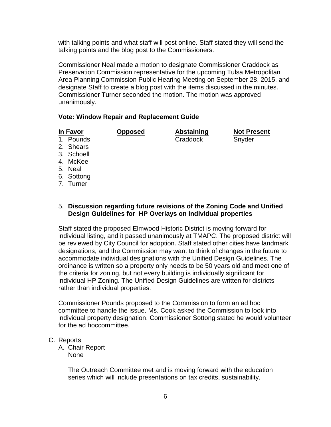with talking points and what staff will post online. Staff stated they will send the talking points and the blog post to the Commissioners.

Commissioner Neal made a motion to designate Commissioner Craddock as Preservation Commission representative for the upcoming Tulsa Metropolitan Area Planning Commission Public Hearing Meeting on September 28, 2015, and designate Staff to create a blog post with the items discussed in the minutes. Commissioner Turner seconded the motion. The motion was approved unanimously.

#### **Vote: Window Repair and Replacement Guide**

1. Pounds Craddock Snyder

**In Favor Opposed Abstaining Not Present**

- 2. Shears
- 3. Schoell
- 4. McKee
- 5. Neal
- 6. Sottong
- 7. Turner

### 5. **Discussion regarding future revisions of the Zoning Code and Unified Design Guidelines for HP Overlays on individual properties**

Staff stated the proposed Elmwood Historic District is moving forward for individual listing, and it passed unanimously at TMAPC. The proposed district will be reviewed by City Council for adoption. Staff stated other cities have landmark designations, and the Commission may want to think of changes in the future to accommodate individual designations with the Unified Design Guidelines. The ordinance is written so a property only needs to be 50 years old and meet one of the criteria for zoning, but not every building is individually significant for individual HP Zoning. The Unified Design Guidelines are written for districts rather than individual properties.

Commissioner Pounds proposed to the Commission to form an ad hoc committee to handle the issue. Ms. Cook asked the Commission to look into individual property designation. Commissioner Sottong stated he would volunteer for the ad hoccommittee.

#### C. Reports

A. Chair Report None

> The Outreach Committee met and is moving forward with the education series which will include presentations on tax credits, sustainability,